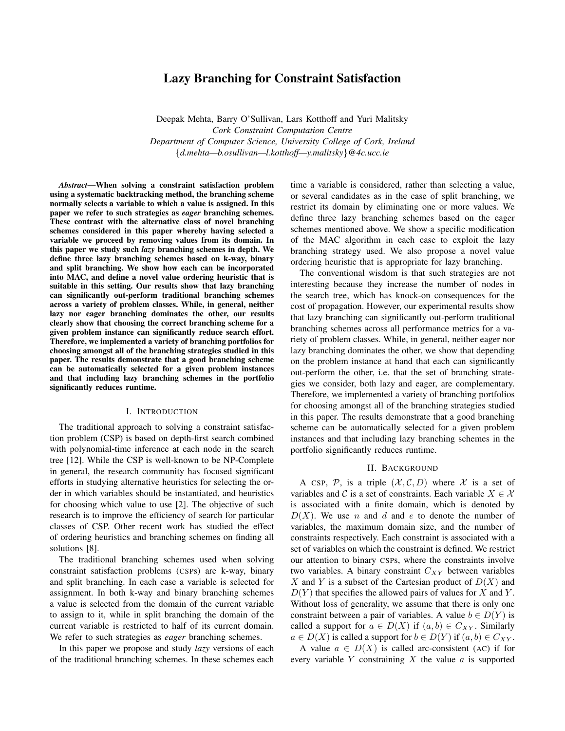# Lazy Branching for Constraint Satisfaction

Deepak Mehta, Barry O'Sullivan, Lars Kotthoff and Yuri Malitsky *Cork Constraint Computation Centre Department of Computer Science, University College of Cork, Ireland {d.mehta—b.osullivan—l.kotthoff—y.malitsky}@4c.ucc.ie*

*Abstract*—When solving a constraint satisfaction problem using a systematic backtracking method, the branching scheme normally selects a variable to which a value is assigned. In this paper we refer to such strategies as *eager* branching schemes. These contrast with the alternative class of novel branching schemes considered in this paper whereby having selected a variable we proceed by removing values from its domain. In this paper we study such *lazy* branching schemes in depth. We define three lazy branching schemes based on k-way, binary and split branching. We show how each can be incorporated into MAC, and define a novel value ordering heuristic that is suitable in this setting. Our results show that lazy branching can significantly out-perform traditional branching schemes across a variety of problem classes. While, in general, neither lazy nor eager branching dominates the other, our results clearly show that choosing the correct branching scheme for a given problem instance can significantly reduce search effort. Therefore, we implemented a variety of branching portfolios for choosing amongst all of the branching strategies studied in this paper. The results demonstrate that a good branching scheme can be automatically selected for a given problem instances and that including lazy branching schemes in the portfolio significantly reduces runtime.

### I. INTRODUCTION

The traditional approach to solving a constraint satisfaction problem (CSP) is based on depth-first search combined with polynomial-time inference at each node in the search tree [12]. While the CSP is well-known to be NP-Complete in general, the research community has focused significant efforts in studying alternative heuristics for selecting the order in which variables should be instantiated, and heuristics for choosing which value to use [2]. The objective of such research is to improve the efficiency of search for particular classes of CSP. Other recent work has studied the effect of ordering heuristics and branching schemes on finding all solutions [8].

The traditional branching schemes used when solving constraint satisfaction problems (CSPs) are k-way, binary and split branching. In each case a variable is selected for assignment. In both k-way and binary branching schemes a value is selected from the domain of the current variable to assign to it, while in split branching the domain of the current variable is restricted to half of its current domain. We refer to such strategies as *eager* branching schemes.

In this paper we propose and study *lazy* versions of each of the traditional branching schemes. In these schemes each time a variable is considered, rather than selecting a value, or several candidates as in the case of split branching, we restrict its domain by eliminating one or more values. We define three lazy branching schemes based on the eager schemes mentioned above. We show a specific modification of the MAC algorithm in each case to exploit the lazy branching strategy used. We also propose a novel value ordering heuristic that is appropriate for lazy branching.

The conventional wisdom is that such strategies are not interesting because they increase the number of nodes in the search tree, which has knock-on consequences for the cost of propagation. However, our experimental results show that lazy branching can significantly out-perform traditional branching schemes across all performance metrics for a variety of problem classes. While, in general, neither eager nor lazy branching dominates the other, we show that depending on the problem instance at hand that each can significantly out-perform the other, i.e. that the set of branching strategies we consider, both lazy and eager, are complementary. Therefore, we implemented a variety of branching portfolios for choosing amongst all of the branching strategies studied in this paper. The results demonstrate that a good branching scheme can be automatically selected for a given problem instances and that including lazy branching schemes in the portfolio significantly reduces runtime.

#### II. BACKGROUND

A CSP,  $P$ , is a triple  $(\mathcal{X}, \mathcal{C}, D)$  where  $\mathcal{X}$  is a set of variables and *C* is a set of constraints. Each variable  $X \in \mathcal{X}$ is associated with a finite domain, which is denoted by *D*(*X*). We use *n* and *d* and *e* to denote the number of variables, the maximum domain size, and the number of constraints respectively. Each constraint is associated with a set of variables on which the constraint is defined. We restrict our attention to binary CSPs, where the constraints involve two variables. A binary constraint *CXY* between variables *X* and *Y* is a subset of the Cartesian product of *D*(*X*) and  $D(Y)$  that specifies the allowed pairs of values for *X* and *Y*. Without loss of generality, we assume that there is only one constraint between a pair of variables. A value  $b \in D(Y)$  is called a support for  $a \in D(X)$  if  $(a, b) \in C_{XY}$ . Similarly  $a \in D(X)$  is called a support for  $b \in D(Y)$  if  $(a, b) \in C_{XY}$ .

A value  $a \in D(X)$  is called arc-consistent (AC) if for every variable *Y* constraining *X* the value *a* is supported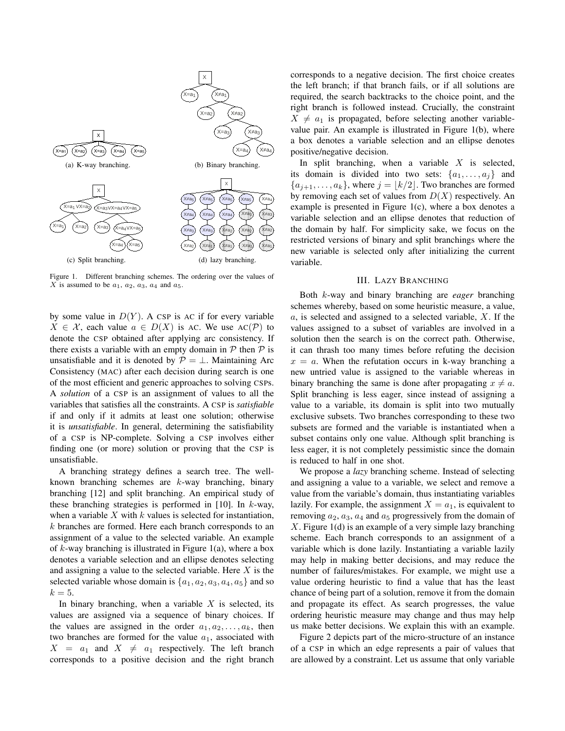

Figure 1. Different branching schemes. The ordering over the values of *X* is assumed to be  $a_1$ ,  $a_2$ ,  $a_3$ ,  $a_4$  and  $a_5$ .

by some value in  $D(Y)$ . A CSP is AC if for every variable *X* ∈ *X*, each value *a* ∈ *D*(*X*) is AC. We use AC(*P*) to denote the CSP obtained after applying arc consistency. If there exists a variable with an empty domain in  $P$  then  $P$  is unsatisfiable and it is denoted by  $P = \perp$ . Maintaining Arc Consistency (MAC) after each decision during search is one of the most efficient and generic approaches to solving CSPs. A *solution* of a CSP is an assignment of values to all the variables that satisfies all the constraints. A CSP is *satisfiable* if and only if it admits at least one solution; otherwise it is *unsatisfiable*. In general, determining the satisfiability of a CSP is NP-complete. Solving a CSP involves either finding one (or more) solution or proving that the CSP is unsatisfiable.

A branching strategy defines a search tree. The wellknown branching schemes are *k*-way branching, binary branching [12] and split branching. An empirical study of these branching strategies is performed in [10]. In *k*-way, when a variable *X* with *k* values is selected for instantiation, *k* branches are formed. Here each branch corresponds to an assignment of a value to the selected variable. An example of *k*-way branching is illustrated in Figure 1(a), where a box denotes a variable selection and an ellipse denotes selecting and assigning a value to the selected variable. Here *X* is the selected variable whose domain is  $\{a_1, a_2, a_3, a_4, a_5\}$  and so  $k=5$ .

In binary branching, when a variable *X* is selected, its values are assigned via a sequence of binary choices. If the values are assigned in the order  $a_1, a_2, \ldots, a_k$ , then two branches are formed for the value  $a_1$ , associated with  $X = a_1$  and  $X \neq a_1$  respectively. The left branch corresponds to a positive decision and the right branch corresponds to a negative decision. The first choice creates the left branch; if that branch fails, or if all solutions are required, the search backtracks to the choice point, and the right branch is followed instead. Crucially, the constraint  $X \neq a_1$  is propagated, before selecting another variablevalue pair. An example is illustrated in Figure 1(b), where a box denotes a variable selection and an ellipse denotes positive/negative decision.

In split branching, when a variable *X* is selected, its domain is divided into two sets:  $\{a_1, \ldots, a_j\}$  and  ${a_{j+1}, \ldots, a_k}$ , where  $j = \lfloor k/2 \rfloor$ . Two branches are formed by removing each set of values from  $D(X)$  respectively. An example is presented in Figure  $1(c)$ , where a box denotes a variable selection and an ellipse denotes that reduction of the domain by half. For simplicity sake, we focus on the restricted versions of binary and split branchings where the new variable is selected only after initializing the current variable.

#### III. LAZY BRANCHING

Both *k*-way and binary branching are *eager* branching schemes whereby, based on some heuristic measure, a value, *a*, is selected and assigned to a selected variable, *X*. If the values assigned to a subset of variables are involved in a solution then the search is on the correct path. Otherwise, it can thrash too many times before refuting the decision  $x = a$ . When the refutation occurs in k-way branching a new untried value is assigned to the variable whereas in binary branching the same is done after propagating  $x \neq a$ . Split branching is less eager, since instead of assigning a value to a variable, its domain is split into two mutually exclusive subsets. Two branches corresponding to these two subsets are formed and the variable is instantiated when a subset contains only one value. Although split branching is less eager, it is not completely pessimistic since the domain is reduced to half in one shot.

We propose a *lazy* branching scheme. Instead of selecting and assigning a value to a variable, we select and remove a value from the variable's domain, thus instantiating variables lazily. For example, the assignment  $X = a_1$ , is equivalent to removing  $a_2$ ,  $a_3$ ,  $a_4$  and  $a_5$  progressively from the domain of *X*. Figure 1(d) is an example of a very simple lazy branching scheme. Each branch corresponds to an assignment of a variable which is done lazily. Instantiating a variable lazily may help in making better decisions, and may reduce the number of failures/mistakes. For example, we might use a value ordering heuristic to find a value that has the least chance of being part of a solution, remove it from the domain and propagate its effect. As search progresses, the value ordering heuristic measure may change and thus may help us make better decisions. We explain this with an example.

Figure 2 depicts part of the micro-structure of an instance of a CSP in which an edge represents a pair of values that are allowed by a constraint. Let us assume that only variable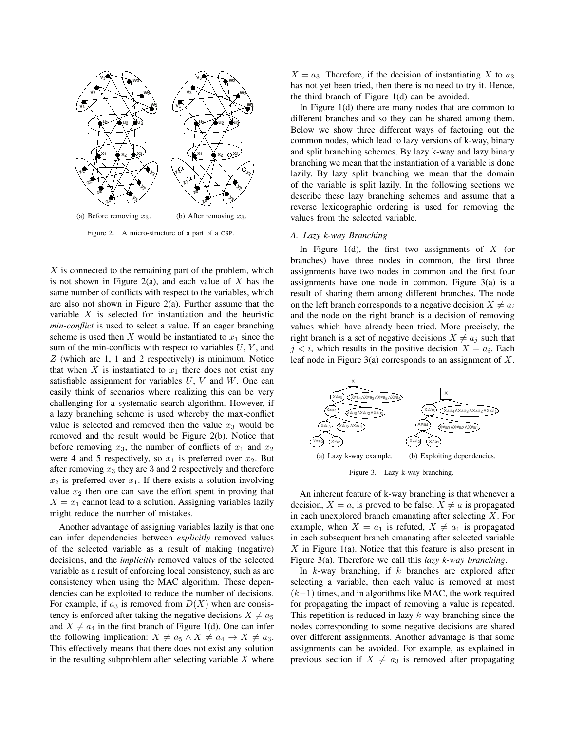

Figure 2. A micro-structure of a part of a CSP.

*X* is connected to the remaining part of the problem, which is not shown in Figure 2(a), and each value of *X* has the same number of conflicts with respect to the variables, which are also not shown in Figure 2(a). Further assume that the variable *X* is selected for instantiation and the heuristic *min-conflict* is used to select a value. If an eager branching scheme is used then *X* would be instantiated to  $x_1$  since the sum of the min-conflicts with respect to variables *U*, *Y* , and *Z* (which are 1, 1 and 2 respectively) is minimum. Notice that when  $X$  is instantiated to  $x_1$  there does not exist any satisfiable assignment for variables *U*, *V* and *W*. One can easily think of scenarios where realizing this can be very challenging for a systematic search algorithm. However, if a lazy branching scheme is used whereby the max-conflict value is selected and removed then the value  $x_3$  would be removed and the result would be Figure 2(b). Notice that before removing  $x_3$ , the number of conflicts of  $x_1$  and  $x_2$ were 4 and 5 respectively, so  $x_1$  is preferred over  $x_2$ . But after removing *x*<sup>3</sup> they are 3 and 2 respectively and therefore  $x_2$  is preferred over  $x_1$ . If there exists a solution involving value  $x_2$  then one can save the effort spent in proving that  $X = x_1$  cannot lead to a solution. Assigning variables lazily might reduce the number of mistakes.

Another advantage of assigning variables lazily is that one can infer dependencies between *explicitly* removed values of the selected variable as a result of making (negative) decisions, and the *implicitly* removed values of the selected variable as a result of enforcing local consistency, such as arc consistency when using the MAC algorithm. These dependencies can be exploited to reduce the number of decisions. For example, if  $a_3$  is removed from  $D(X)$  when arc consistency is enforced after taking the negative decisions  $X \neq a_5$ and  $X \neq a_4$  in the first branch of Figure 1(d). One can infer the following implication:  $X \neq a_5 \land X \neq a_4 \rightarrow X \neq a_3$ . This effectively means that there does not exist any solution in the resulting subproblem after selecting variable *X* where  $X = a_3$ . Therefore, if the decision of instantiating X to  $a_3$ has not yet been tried, then there is no need to try it. Hence, the third branch of Figure 1(d) can be avoided.

In Figure 1(d) there are many nodes that are common to different branches and so they can be shared among them. Below we show three different ways of factoring out the common nodes, which lead to lazy versions of k-way, binary and split branching schemes. By lazy k-way and lazy binary branching we mean that the instantiation of a variable is done lazily. By lazy split branching we mean that the domain of the variable is split lazily. In the following sections we describe these lazy branching schemes and assume that a reverse lexicographic ordering is used for removing the values from the selected variable.

#### *A. Lazy k-way Branching*

In Figure 1(d), the first two assignments of *X* (or branches) have three nodes in common, the first three assignments have two nodes in common and the first four assignments have one node in common. Figure 3(a) is a result of sharing them among different branches. The node on the left branch corresponds to a negative decision  $X \neq a_i$ and the node on the right branch is a decision of removing values which have already been tried. More precisely, the right branch is a set of negative decisions  $X \neq a_j$  such that  $j < i$ , which results in the positive decision  $X = a_i$ . Each leaf node in Figure 3(a) corresponds to an assignment of *X*.



Figure 3. Lazy k-way branching.

An inherent feature of k-way branching is that whenever a decision,  $X = a$ , is proved to be false,  $X \neq a$  is propagated in each unexplored branch emanating after selecting *X*. For example, when  $X = a_1$  is refuted,  $X \neq a_1$  is propagated in each subsequent branch emanating after selected variable *X* in Figure 1(a). Notice that this feature is also present in Figure 3(a). Therefore we call this *lazy k-way branching*.

In *k*-way branching, if *k* branches are explored after selecting a variable, then each value is removed at most (*k−*1) times, and in algorithms like MAC, the work required for propagating the impact of removing a value is repeated. This repetition is reduced in lazy *k*-way branching since the nodes corresponding to some negative decisions are shared over different assignments. Another advantage is that some assignments can be avoided. For example, as explained in previous section if  $X \neq a_3$  is removed after propagating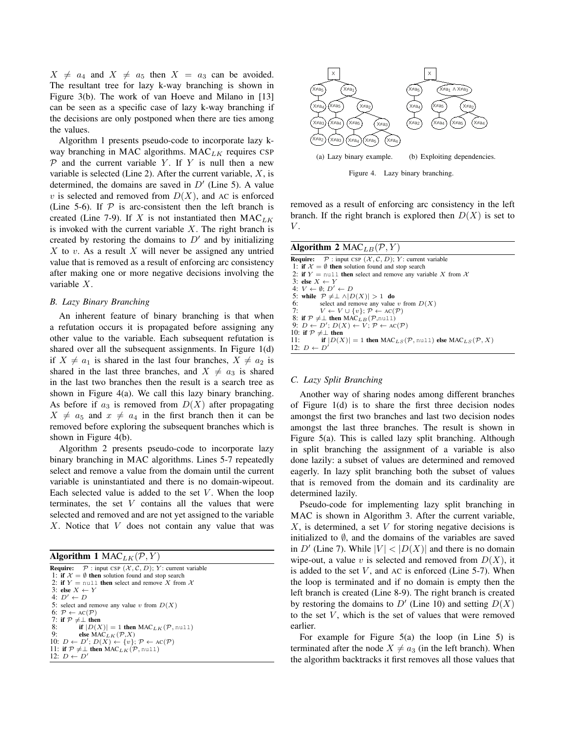$X \neq a_4$  and  $X \neq a_5$  then  $X = a_3$  can be avoided. The resultant tree for lazy k-way branching is shown in Figure 3(b). The work of van Hoeve and Milano in [13] can be seen as a specific case of lazy k-way branching if the decisions are only postponed when there are ties among the values.

Algorithm 1 presents pseudo-code to incorporate lazy kway branching in MAC algorithms. MAC*LK* requires CSP  $P$  and the current variable  $Y$ . If  $Y$  is null then a new variable is selected (Line 2). After the current variable, *X*, is determined, the domains are saved in *D′* (Line 5). A value *v* is selected and removed from  $D(X)$ , and AC is enforced (Line 5-6). If  $P$  is arc-consistent then the left branch is created (Line 7-9). If *X* is not instantiated then MAC*LK* is invoked with the current variable *X*. The right branch is created by restoring the domains to  $D'$  and by initializing *X* to *v*. As a result *X* will never be assigned any untried value that is removed as a result of enforcing arc consistency after making one or more negative decisions involving the variable *X*.

## *B. Lazy Binary Branching*

An inherent feature of binary branching is that when a refutation occurs it is propagated before assigning any other value to the variable. Each subsequent refutation is shared over all the subsequent assignments. In Figure 1(d) if  $X \neq a_1$  is shared in the last four branches,  $X \neq a_2$  is shared in the last three branches, and  $X \neq a_3$  is shared in the last two branches then the result is a search tree as shown in Figure 4(a). We call this lazy binary branching. As before if  $a_3$  is removed from  $D(X)$  after propagating  $X \neq a_5$  and  $x \neq a_4$  in the first branch then it can be removed before exploring the subsequent branches which is shown in Figure 4(b).

Algorithm 2 presents pseudo-code to incorporate lazy binary branching in MAC algorithms. Lines 5-7 repeatedly select and remove a value from the domain until the current variable is uninstantiated and there is no domain-wipeout. Each selected value is added to the set  $V$ . When the loop terminates, the set *V* contains all the values that were selected and removed and are not yet assigned to the variable *X*. Notice that *V* does not contain any value that was

## Algorithm 1  $MAC_{LK}(P, Y)$

| <b>Require:</b> $\mathcal{P}$ : input CSP $(\mathcal{X}, \mathcal{C}, D)$ ; Y: current variable |
|-------------------------------------------------------------------------------------------------|
| 1: if $\mathcal{X} = \emptyset$ then solution found and stop search                             |
| 2: if $Y = \text{null}$ then select and remove X from X                                         |
| 3: else $X \leftarrow Y$                                                                        |
| $4: D' \leftarrow D$                                                                            |
| 5: select and remove any value v from $D(X)$                                                    |
| 6: $\mathcal{P} \leftarrow \text{AC}(\mathcal{P})$                                              |
| 7: if $\mathcal{P} \neq \perp$ then                                                             |
| 8: if $ D(X)  = 1$ then MAC <sub>LK</sub> (P, null)                                             |
| 9:<br>else MAC <sub>LK</sub> $(\mathcal{P},X)$                                                  |
| 10: $D \leftarrow D'$ ; $D(X) \leftarrow \{v\}$ ; $P \leftarrow AC(P)$                          |
| 11: if $P \neq \perp$ then MAC <sub>LK</sub> (P, null)                                          |
| 12: $D \leftarrow D'$                                                                           |
|                                                                                                 |



removed as a result of enforcing arc consistency in the left branch. If the right branch is explored then  $D(X)$  is set to *V* .

| Algorithm 2 MAC <sub>LB</sub> $(\mathcal{P}, Y)$                                                                                            |
|---------------------------------------------------------------------------------------------------------------------------------------------|
| <b>Require:</b> $P:$ input CSP $(X, C, D)$ ; Y: current variable                                                                            |
| 1: if $\mathcal{X} = \emptyset$ then solution found and stop search                                                                         |
| 2: if $Y = null$ then select and remove any variable X from X                                                                               |
| 3: else $X \leftarrow Y$                                                                                                                    |
| 4: $V \leftarrow \emptyset: D' \leftarrow D$                                                                                                |
| 5: while $P \neq \perp \wedge  D(X)  > 1$ do                                                                                                |
| 6: select and remove any value v from $D(X)$                                                                                                |
| 7: $V \leftarrow V \cup \{v\}; \mathcal{P} \leftarrow \text{AC}(\mathcal{P})$                                                               |
| 8: if $P \neq \perp$ then MAC <sub>LB</sub> (P,null)                                                                                        |
| 9: $D \leftarrow D'$ ; $D(X) \leftarrow V$ ; $P \leftarrow AC(P)$                                                                           |
| 10: if $P \neq \perp$ then                                                                                                                  |
| 11: <b>if</b> $ D(X)  = 1$ then $\text{MAC}_{LS}(\mathcal{P}, \text{null})$ else $\text{MAC}_{LS}(\mathcal{P}, X)$<br>12: $D \leftarrow D'$ |
|                                                                                                                                             |

## *C. Lazy Split Branching*

Another way of sharing nodes among different branches of Figure 1(d) is to share the first three decision nodes amongst the first two branches and last two decision nodes amongst the last three branches. The result is shown in Figure 5(a). This is called lazy split branching. Although in split branching the assignment of a variable is also done lazily: a subset of values are determined and removed eagerly. In lazy split branching both the subset of values that is removed from the domain and its cardinality are determined lazily.

Pseudo-code for implementing lazy split branching in MAC is shown in Algorithm 3. After the current variable, *X*, is determined, a set *V* for storing negative decisions is initialized to *∅*, and the domains of the variables are saved in *D'* (Line 7). While  $|V| < |D(X)|$  and there is no domain wipe-out, a value *v* is selected and removed from  $D(X)$ , it is added to the set  $V$ , and  $AC$  is enforced (Line 5-7). When the loop is terminated and if no domain is empty then the left branch is created (Line 8-9). The right branch is created by restoring the domains to  $D'$  (Line 10) and setting  $D(X)$ to the set *V*, which is the set of values that were removed earlier.

For example for Figure  $5(a)$  the loop (in Line 5) is terminated after the node  $X \neq a_3$  (in the left branch). When the algorithm backtracks it first removes all those values that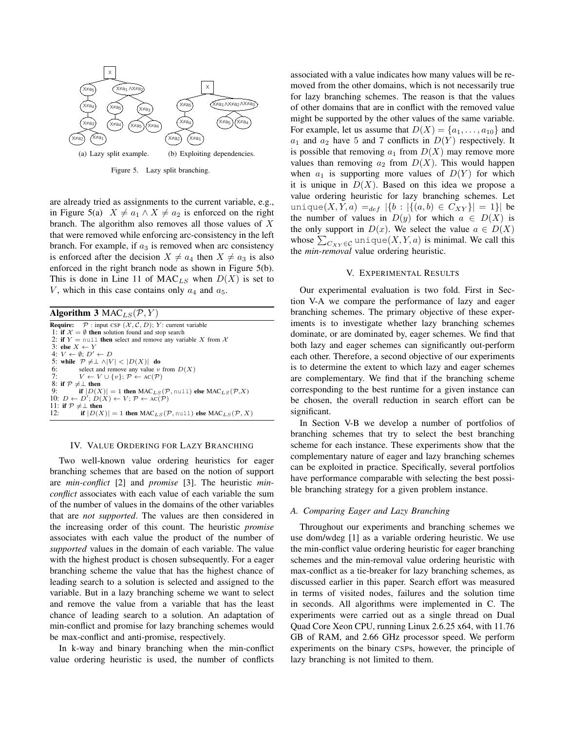

Figure 5. Lazy split branching.

are already tried as assignments to the current variable, e.g., in Figure 5(a)  $X \neq a_1 \wedge X \neq a_2$  is enforced on the right branch. The algorithm also removes all those values of *X* that were removed while enforcing arc-consistency in the left branch. For example, if  $a_3$  is removed when arc consistency is enforced after the decision  $X \neq a_4$  then  $X \neq a_3$  is also enforced in the right branch node as shown in Figure 5(b). This is done in Line 11 of  $MAC_{LS}$  when  $D(X)$  is set to *V*, which in this case contains only  $a_4$  and  $a_5$ .

Algorithm 3 MAC*LS*(*P, Y* ) **Require:**  $P$  : input CSP  $(X, C, D)$ ; *Y* : current variable 1: if  $\mathcal{X} = \emptyset$  then solution found and stop search 2: if  $Y = \text{null}$  then select and remove any variable *X* from  $X$ 3: else *X ← Y* 4: *V ← ∅*; *D′ ← D* 5: while  $P \neq \perp \wedge |V| < |D(X)|$  do 6: select and remove any value *v* 6: select and remove any value *v* from  $D(X)$ <br>7.  $V \leftarrow V \cup \{v\}$ ,  $\mathcal{P} \leftarrow AC(\mathcal{P})$  $V \leftarrow V \cup \{v\}; \mathcal{P} \leftarrow \text{AC}(\mathcal{P})$ 8: if  $P \neq \perp$  then<br>9. if  $|D(X)|$ if  $|D(X)| = 1$  then  $MAC_{LS}(\mathcal{P}, \text{null})$  else  $MAC_{LS}(\mathcal{P}, X)$ 10: *D* ← *D'*; *D*(*X*) ← *V*; *P* ← AC(*P*) 11: if  $P \neq \perp$  then<br>12: if  $|D(\lambda)|$ if  $|D(X)| = 1$  then MAC<sub>*LS*</sub></sub> $(P, \text{null})$  else MAC<sub>*LS*</sub> $(P, X)$ 

#### IV. VALUE ORDERING FOR LAZY BRANCHING

Two well-known value ordering heuristics for eager branching schemes that are based on the notion of support are *min-conflict* [2] and *promise* [3]. The heuristic *minconflict* associates with each value of each variable the sum of the number of values in the domains of the other variables that are *not supported*. The values are then considered in the increasing order of this count. The heuristic *promise* associates with each value the product of the number of *supported* values in the domain of each variable. The value with the highest product is chosen subsequently. For a eager branching scheme the value that has the highest chance of leading search to a solution is selected and assigned to the variable. But in a lazy branching scheme we want to select and remove the value from a variable that has the least chance of leading search to a solution. An adaptation of min-conflict and promise for lazy branching schemes would be max-conflict and anti-promise, respectively.

In k-way and binary branching when the min-conflict value ordering heuristic is used, the number of conflicts associated with a value indicates how many values will be removed from the other domains, which is not necessarily true for lazy branching schemes. The reason is that the values of other domains that are in conflict with the removed value might be supported by the other values of the same variable. For example, let us assume that  $D(X) = \{a_1, \ldots, a_{10}\}\$  and  $a_1$  and  $a_2$  have 5 and 7 conflicts in  $D(Y)$  respectively. It is possible that removing  $a_1$  from  $D(X)$  may remove more values than removing  $a_2$  from  $D(X)$ . This would happen when  $a_1$  is supporting more values of  $D(Y)$  for which it is unique in  $D(X)$ . Based on this idea we propose a value ordering heuristic for lazy branching schemes. Let  $unique(X, Y, a) =_{def} |\{b : |\{(a, b) \in C_{XY}\}| = 1\}|$  be the number of values in  $D(y)$  for which  $a \in D(X)$  is the only support in  $D(x)$ . We select the value  $a \in D(X)$ whose  $\sum_{C_{XY} \in \mathcal{C}}$  unique $(X, Y, a)$  is minimal. We call this the *min-removal* value ordering heuristic.

#### V. EXPERIMENTAL RESULTS

Our experimental evaluation is two fold. First in Section V-A we compare the performance of lazy and eager branching schemes. The primary objective of these experiments is to investigate whether lazy branching schemes dominate, or are dominated by, eager schemes. We find that both lazy and eager schemes can significantly out-perform each other. Therefore, a second objective of our experiments is to determine the extent to which lazy and eager schemes are complementary. We find that if the branching scheme corresponding to the best runtime for a given instance can be chosen, the overall reduction in search effort can be significant.

In Section V-B we develop a number of portfolios of branching schemes that try to select the best branching scheme for each instance. These experiments show that the complementary nature of eager and lazy branching schemes can be exploited in practice. Specifically, several portfolios have performance comparable with selecting the best possible branching strategy for a given problem instance.

#### *A. Comparing Eager and Lazy Branching*

Throughout our experiments and branching schemes we use dom/wdeg [1] as a variable ordering heuristic. We use the min-conflict value ordering heuristic for eager branching schemes and the min-removal value ordering heuristic with max-conflict as a tie-breaker for lazy branching schemes, as discussed earlier in this paper. Search effort was measured in terms of visited nodes, failures and the solution time in seconds. All algorithms were implemented in C. The experiments were carried out as a single thread on Dual Quad Core Xeon CPU, running Linux 2.6.25 x64, with 11.76 GB of RAM, and 2.66 GHz processor speed. We perform experiments on the binary CSPs, however, the principle of lazy branching is not limited to them.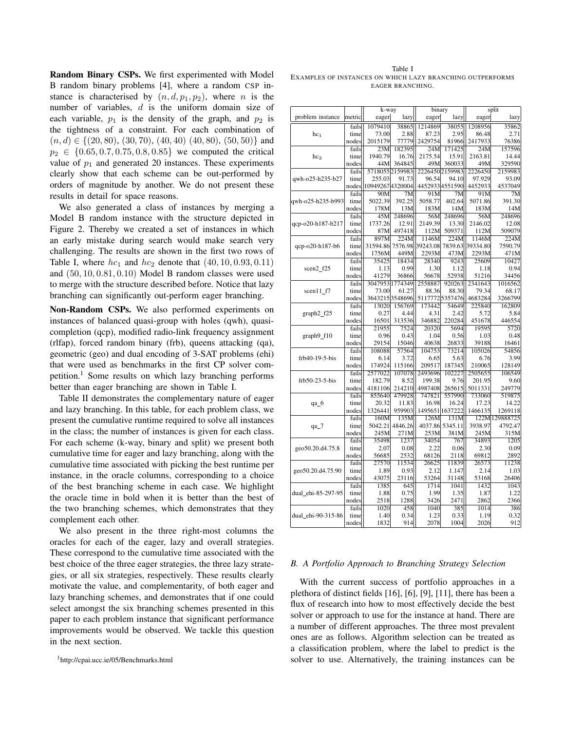Random Binary CSPs. We first experimented with Model B random binary problems [4], where a random CSP instance is characterised by  $(n, d, p_1, p_2)$ , where *n* is the number of variables, *d* is the uniform domain size of each variable,  $p_1$  is the density of the graph, and  $p_2$  is the tightness of a constraint. For each combination of (*n, d*) *∈ {*(20*,* 80), (30*,* 70), (40*,* 40) (40*,* 80), (50*,* 50)*}* and *p*<sup>2</sup> *∈ {*0*.*65*,* 0*.*7*,* 0*.*75*,* 0*.*8*,* 0*.*85*}* we computed the critical value of  $p_1$  and generated 20 instances. These experiments clearly show that each scheme can be out-performed by orders of magnitude by another. We do not present these results in detail for space reasons.

We also generated a class of instances by merging a Model B random instance with the structure depicted in Figure 2. Thereby we created a set of instances in which an early mistake during search would make search very challenging. The results are shown in the first two rows of Table I, where  $hc_1$  and  $hc_2$  denote that  $(40, 10, 0.93, 0.11)$ and (50*,* 10*,* 0*.*81*,* 0*.*10) Model B random classes were used to merge with the structure described before. Notice that lazy branching can significantly out-perform eager branching.

Non-Random CSPs. We also performed experiments on instances of balanced quasi-group with holes (qwh), quasicompletion (qcp), modified radio-link frequency assignment (rlfap), forced random binary (frb), queens attacking (qa), geometric (geo) and dual encoding of 3-SAT problems (ehi) that were used as benchmarks in the first CP solver competition.<sup>1</sup> Some results on which lazy branching performs better than eager branching are shown in Table I.

Table II demonstrates the complementary nature of eager and lazy branching. In this table, for each problem class, we present the cumulative runtime required to solve all instances in the class; the number of instances is given for each class. For each scheme (k-way, binary and split) we present both cumulative time for eager and lazy branching, along with the cumulative time associated with picking the best runtime per instance, in the oracle columns, corresponding to a choice of the best branching scheme in each case. We highlight the oracle time in bold when it is better than the best of the two branching schemes, which demonstrates that they complement each other.

We also present in the three right-most columns the oracles for each of the eager, lazy and overall strategies. These correspond to the cumulative time associated with the best choice of the three eager strategies, the three lazy strategies, or all six strategies, respectively. These results clearly motivate the value, and complementarity, of both eager and lazy branching schemes, and demonstrates that if one could select amongst the six branching schemes presented in this paper to each problem instance that significant performance improvements would be observed. We tackle this question in the next section.

Table I EXAMPLES OF INSTANCES ON WHICH LAZY BRANCHING OUTPERFORMS EAGER BRANCHING.

|                    |        | k-way            |                 | binary   |                | split    |                |  |  |
|--------------------|--------|------------------|-----------------|----------|----------------|----------|----------------|--|--|
| problem instance   | metric | eager            | lazy            | eager    | lazy           | eager    | lazy           |  |  |
|                    | fails  | 1079410          | 38865           | 1214869  | 38055          | 1208956  | 35862          |  |  |
| hc <sub>1</sub>    | time   | 73.00            | 2.88            | 87.23    | 2.95           | 86.48    | 2.71           |  |  |
|                    | nodes  | 2015179          | 77779           | 2429754  | 81966          | 2417933  | 76386          |  |  |
|                    | fails  | 23M              | 182395          | 24M      | 171425         | 24M      | 157596         |  |  |
| hc <sub>2</sub>    | time   | 1940.79          | 16.76           | 2175.54  | 15.91          | 2163.81  | 14.44          |  |  |
|                    | nodes  | 44M              | 364845          | 49M      | 360033         | 49M      | 329590         |  |  |
|                    | fails  |                  | 5718055 2159983 | 2226450  | 2159983        | 2226450  | 2159983        |  |  |
| qwh-o25-h235-b27   | time   | 255.03           | 91.73           | 96.54    | 94.10          | 97.929   | 93.09          |  |  |
|                    | nodes  | 10949267 4320004 |                 |          | 44529334551590 | 4452933  | 4537049        |  |  |
|                    | fails  | 90M              | 7M              | 91M      | 7M             | 91M      | 7M             |  |  |
| qwh-o25-h235-b993  | time   | 5022.39          | 392.25          | 5058.77  | 402.64         | 5071.86  | 391.30         |  |  |
|                    | nodes  | 178M             | 13M             | 183M     | 14M            | 183M     | 14M            |  |  |
|                    | fails  | 45M              | 248696          | 56M      | 248696         | 56M      | 248696         |  |  |
| qcp-o20-h187-b217  | time   | 1737.26          | 12.91           | 2149.39  | 13.30          | 2146.02  | 12.08          |  |  |
|                    | nodes  | 87M              | 497418          | 112M     | 509371         | 112M     | 509079         |  |  |
|                    | fails  | 897M             | 224M            | 1146M    | 224M           | 1146M    | 224M           |  |  |
| qcp-o20-h187-b6    | time   | 31594.86         | 7576.98         | 39243.08 | 7839.63        | 39334.80 | 7590.79        |  |  |
|                    | nodes  | 1756M            | 449M            | 2293M    | 473M           | 2293M    | 471M           |  |  |
|                    | fails  | 35425            | 18434           | 28340    | 9243           | 25609    | 10427          |  |  |
| scen2 f25          | time   | 1.13             | 0.99            | 1.30     | 1.12           | 1.18     | 0.94           |  |  |
|                    | nodes  | 41279            | 36866           | 56678    | 52938          | 51216    | 34456          |  |  |
|                    | fails  | 3047953 1774349  |                 | 2558887  | 920263         | 2341643  | 1016562        |  |  |
| scen $11 f7$       | time   | 73.00            | 61.27           | 88.36    | 88.30          | 79.34    | 68.17          |  |  |
|                    | nodes  |                  | 3643215 3548696 | 5117772  | 5357476        | 4683284  | 3266799        |  |  |
|                    | fails  | 13020            | 156769          | 173442   | 54649          | 225840   | 162809         |  |  |
| graph2_f25         | time   | 0.27             | 4.44            | 4.31     | 2.42           | 5.72     | 5.84           |  |  |
|                    | nodes  | 16501            | 313536          | 346882   | 220284         | 451678   | 446554         |  |  |
|                    | fails  | 21955            | 7524            | 20320    | 5694           | 19595    | 5720           |  |  |
| graph9_f10         | time   | 0.96             | 0.43            | 1.04     | 0.56           | 1.03     | 0.48           |  |  |
|                    | nodes  | 29154            | 15046           | 40638    | 26833          | 39188    | 16461          |  |  |
|                    | fails  | 108088           | 57564           | 104753   | 73214          | 105026   | 54856          |  |  |
| frb40-19-5-bis     | time   | 6.14             | 3.72            | 6.65     | 5.63           | 6.76     | 3.99           |  |  |
|                    | nodes  | 174924           | 115166          | 209517   | 187345         | 210065   | 128149         |  |  |
|                    | fails  | 2577022          | 107078          | 2493696  | 102227         | 2505655  | 106549         |  |  |
| frb50-23-5-bis     | time   | 182.79           | 8.52            | 199.38   | 9.76           | 201.95   | 9.60           |  |  |
|                    | nodes  | 4181106          | 214210          | 4987408  | 265615         | 5011331  | 249779         |  |  |
|                    | fails  | 855640           | 479928          | 747821   | 557990         | 733060   | 519875         |  |  |
| qa_6               | time   | 20.32            | 11.83           | 16.98    | 16.24          | 17.23    | 14.22          |  |  |
|                    | nodes  | 1326441          | 959903          | 1495651  | 1637222        | 1466135  | 1269118        |  |  |
|                    | fails  | 160M             | 135M            | 126M     | 131M           |          | 122M 129888725 |  |  |
| $qa_7$             | time   | 5042.21          | 4846.26         | 4037.86  | 5345.11        | 3938.97  | 4792.47        |  |  |
|                    | nodes  | 245M             | 271M            | 253M     | 381M           | 245M     | 315M           |  |  |
|                    | fails  | 35498            | 1237            | 34054    | 767            | 34893    | 1205           |  |  |
| geo50.20.d4.75.8   | time   | 2.07             | 0.08            | 2.22     | 0.06           | 2.30     | 0.09           |  |  |
|                    | nodes  | 56685            | 2532            | 68126    | 2118           | 69812    | 2892           |  |  |
|                    | fails  | 27570            | 11534           | 26625    | 11839          | 26573    | 11238          |  |  |
| geo50.20.d4.75.90  | time   | 1.89             | 0.93            | 2.12     | 1.147          | 2.14     | 1.03           |  |  |
|                    | nodes  | 43075            | 23116           | 53264    | 31148          | 53168    | 26406          |  |  |
|                    | fails  | 1385             | 645             | 1714     | 1041           | 1432     | 1043           |  |  |
| dual ehi-85-297-95 | time   | 1.88             | 0.75            | 1.99     | 1.35           | 1.87     | 1.22           |  |  |
|                    | nodes  | 2518             | 1288            | 3426     | 2471           | 2862     | 2366           |  |  |
|                    | fails  | 1020             | 458             | 1040     | 385            | 1014     | 386            |  |  |
| dual_ehi-90-315-86 | time   | 1.40             | 0.34            | 1.23     | 0.33           | 1.19     | 0.32           |  |  |
|                    | nodes  | 1832             | 914             | 2078     | 1004           | 2026     | 912            |  |  |

#### *B. A Portfolio Approach to Branching Strategy Selection*

With the current success of portfolio approaches in a plethora of distinct fields [16], [6], [9], [11], there has been a flux of research into how to most effectively decide the best solver or approach to use for the instance at hand. There are a number of different approaches. The three most prevalent ones are as follows. Algorithm selection can be treated as a classification problem, where the label to predict is the solver to use. Alternatively, the training instances can be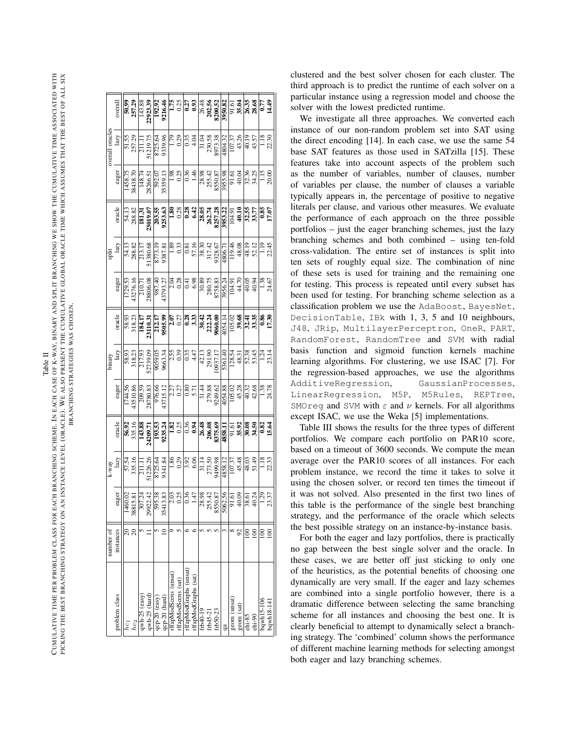CUMULATIVE TIME PER PROBLEM CLASS FOR EACH BRANCHING SCHEME. IN EACH CASE OF K-WAY, BINARY AND SPLIT BRANCHING WE SHOW THE CUMULATIVE TIME ASSOCIATED WITH<br>Cumulative time per problem class for each branching scheme. In eac CUMULATIVE TIME PER PROBLEM CLASS FOR EACH BRANCHING SCHEME. IN EACH CASE OF K-WAY, BINARY AND SPLIT BRANCHING WE SHOW THE CUMULATIVE TIME ASSOCIATED WITH PICKING THE BEST BRANCHING STRATEGY ON AN INSTANCE LEVEL (ORACLE). WE ALSO PRESENT THE CUMULATIVE GLOBAL ORACLE TIME WHICH ASSUMES THAT THE BEST OF ALL SIX PICKING THE BEST BRANCHING STRATEGY ON AN INSTANCE LEVEL (ORACLE). WE ALSO PRESENT THE CUMULATIVE GLOBAL ORACLE TIME WHICH ASSUMES THAT THE BEST OF ALL SIX BRANCHING STRATEGIES WAS CHOSEN. BRANCHING STRATEGIES WAS CHOSEN.

|                | overall                     |                   |        |                                |                                |  |                                              |                        |                                                                                                                                                                                                                                                                                                                                                               |          |          |            |    |             |            |            |               |            |                                                                                                                                                                                                                                           |  |
|----------------|-----------------------------|-------------------|--------|--------------------------------|--------------------------------|--|----------------------------------------------|------------------------|---------------------------------------------------------------------------------------------------------------------------------------------------------------------------------------------------------------------------------------------------------------------------------------------------------------------------------------------------------------|----------|----------|------------|----|-------------|------------|------------|---------------|------------|-------------------------------------------------------------------------------------------------------------------------------------------------------------------------------------------------------------------------------------------|--|
| overall oracle | $\mathbf{lazy}$             |                   |        |                                |                                |  |                                              |                        | $\begin{array}{r l} \hline 51.55 \\ \hline 57.29 \\ \hline 121.11 \\ \hline 512.15 \\ \hline 872.56 \\ \hline 98.99 \\ \hline 99.17 \\ \hline 101.18 \\ \hline 11.11 \\ \hline 121.18 \\ \hline 131.18 \\ \hline 141.18 \\ \hline 151.18 \\ \hline 161.18 \\ \hline 181.18 \\ \hline 181.18 \\ \hline 191.18 \\ \hline 191.19 \\ \hline 141.19 \\ \hline 141$ |          |          |            |    |             |            |            |               |            | $\frac{18}{230}$                                                                                                                                                                                                                          |  |
|                | eager                       |                   |        |                                |                                |  |                                              |                        | $\begin{array}{r} 1438.75 \\ 3438.70 \\ 3426.71 \\ 28265.71 \\ 3539.13 \\ 5359.11 \\ 5359.12 \\ 5359.13 \\ 5359.14 \\ 648.7 \\ 748.7 \\ 843.7 \\ 843.7 \\ 853.6 \\ 853.6 \\ 853.6 \\ 853.6 \\ 873.6 \\ 96.7 \\ 1.12 \\ 1.13 \\ 2.00 \\ 1.11 \\ 2.00 \\ 2.00 \\ 2.00 \\ 2.00 \\ 2.00 \\ 2.00 \\ 2$                                                             |          |          |            |    |             |            |            |               |            |                                                                                                                                                                                                                                           |  |
|                | oracle                      |                   |        |                                |                                |  |                                              |                        | $\begin{array}{r} 34.13 \\ 231.31 \\ 231.31 \\ -231.35 \\ -231.36 \\ -231.36 \\ -231.36 \\ -231.36 \\ -231.36 \\ -231.36 \\ -231.36 \\ -231.36 \\ -231.36 \\ -231.36 \\ -231.36 \\ -231.36 \\ -231.36 \\ -231.36 \\ -231.36 \\ -231.36 \\ -231.36 \\ -231.36 \\ -231.36 \\ -231.36 \\ -231.36 \\ -231.36 \\ -231.3$                                           |          |          |            |    |             |            |            |               |            |                                                                                                                                                                                                                                           |  |
|                | $\sup_{\text{Iazy}}$        |                   |        |                                |                                |  |                                              |                        | $\begin{array}{r} 34.13 \\ 38.82 \\ 288.87 \\ 13.130.59 \\ -13.80.51 \\ -13.80.51 \\ -13.80.51 \\ -13.80.51 \\ -13.80.51 \\ -13.80.51 \\ -13.80.51 \\ -13.80.51 \\ -13.80.51 \\ -13.80.51 \\ -13.80.51 \\ -13.80.51 \\ -13.80.51 \\ -13.80.51 \\ -13.80.51 \\ -13.80.51 \\ -13.80.51 \\ -13.80.51 \\$                                                         |          |          |            |    |             |            |            |               |            |                                                                                                                                                                                                                                           |  |
|                | eager                       |                   |        |                                |                                |  |                                              |                        |                                                                                                                                                                                                                                                                                                                                                               |          |          |            |    |             |            |            |               |            | $\frac{1.38}{24.67}$                                                                                                                                                                                                                      |  |
|                | oracle                      |                   |        |                                |                                |  |                                              |                        | $\begin{array}{r} 38.93\\ 38.23\\ 110.17\\ 23110.17\\ -23110.17\\ -23110.17\\ -23110.17\\ -23110.17\\ -23110.17\\ -23110.17\\ -23110.17\\ -23110.17\\ -23110.17\\ -23110.17\\ -23110.17\\ -23110.17\\ -23110.17\\ -23110.17\\ -23110.17\\ -23110.17\\ -23110.17\\ -23110.17\\ -$                                                                              |          |          |            |    |             |            |            |               |            |                                                                                                                                                                                                                                           |  |
|                | binary<br>$\frac{1}{2}$     |                   |        |                                |                                |  |                                              |                        | $\begin{array}{r} 38.33 \\ 38.31 \\ 38.32 \\ 38.33 \\ 523.37 \\ 523.38 \\ 63.39 \\ 63.31 \\ 63.32 \\ 63.33 \\ 64.33 \\ 65.33 \\ 66.33 \\ 67.33 \\ 68.33 \\ 69.33 \\ 60.33 \\ 60.33 \\ 60.33 \\ 60.33 \\ 60.33 \\ 60.33 \\ 60.33 \\ 60.33 \\ 60.33 \\ 60.33 \\ 60.33 \\ 60.33 \\ 60.33 \\ 60.33 \\ $                                                           |          |          |            |    |             |            |            |               |            |                                                                                                                                                                                                                                           |  |
|                | eager                       |                   |        |                                |                                |  |                                              |                        |                                                                                                                                                                                                                                                                                                                                                               |          |          |            |    |             |            |            |               |            |                                                                                                                                                                                                                                           |  |
|                | oracle                      |                   |        |                                |                                |  |                                              |                        | $\begin{array}{r} 8.28 \\ 8.33 \\ 8.35 \\ 8.49 \\ 8.51 \\ 8.52 \\ 8.53 \\ 8.54 \\ 8.55 \\ 8.56 \\ 8.57 \\ 8.58 \\ 8.58 \\ 8.58 \\ 8.58 \\ 8.58 \\ 8.58 \\ 8.58 \\ 8.58 \\ 8.58 \\ 8.58 \\ 8.58 \\ 8.58 \\ 8.58 \\ 8.58 \\ 8.58 \\ 8.58 \\ 8.58 \\ 8.58 \\ 8.58 \\ 8.58 \\ 8.58 \\ 8.58 \\ 8.58 \\ 8.58 \\ 8.$                                                 |          |          |            |    |             |            |            |               |            |                                                                                                                                                                                                                                           |  |
|                | $\frac{k \cdot way}{ln zy}$ |                   |        |                                |                                |  |                                              |                        |                                                                                                                                                                                                                                                                                                                                                               |          |          |            |    |             |            |            |               |            | $\frac{1.18}{22.33}$                                                                                                                                                                                                                      |  |
|                | eager                       |                   |        |                                |                                |  |                                              |                        |                                                                                                                                                                                                                                                                                                                                                               |          |          |            |    |             |            |            |               |            | $\begin{array}{r l} \hline 160.02 \\ \hline 3815.81 \\ \hline 389.07.34 \\ \hline 399.07.34 \\ \hline 391.38 \\ \hline 391.38 \\ \hline 311.81 \\ \hline 311.81 \\ \hline 321.81 \\ \hline 331.81 \\ \hline 341.82 \\ \hline \end{array}$ |  |
| number of      | instances                   |                   |        |                                |                                |  |                                              |                        |                                                                                                                                                                                                                                                                                                                                                               |          |          |            |    |             |            | $_{\rm 8}$ | $\frac{8}{2}$ |            | $\approx$                                                                                                                                                                                                                                 |  |
|                | problem class               | $\overline{hc_1}$ | $hc_2$ | qwh-25 (easy)<br>qwh-25 (hard) | qcp-20 (easy)<br>qcp-20 (hard) |  | rifapModScens (unsat)<br>rifapModScens (sat) | rlfapModGraphs (unsat) | rlfapModGraphs (sat)                                                                                                                                                                                                                                                                                                                                          | frb40-19 | frb45-21 | $frb50-23$ | ga | geom (unsat | geom (sat) | $chi-85$   | $chi-90$      | bqwh15-106 | bqwh18-141                                                                                                                                                                                                                                |  |

clustered and the best solver chosen for each cluster. The third approach is to predict the runtime of each solver on a particular instance using a regression model and choose the solver with the lowest predicted runtime.

We investigate all three approaches. We converted each instance of our non-random problem set into SAT using the direct encoding [14]. In each case, we use the same 54 base SAT features as those used in SATzilla [15]. These features take into account aspects of the problem such as the number of variables, number of clauses, number of variables per clause, the number of clauses a variable typically appears in, the percentage of positive to negative literals per clause, and various other measures. We evaluate the performance of each approach on the three possible portfolios – just the eager branching schemes, just the lazy branching schemes and both combined – using ten-fold cross-validation. The entire set of instances is split into ten sets of roughly equal size. The combination of nine of these sets is used for training and the remaining one for testing. This process is repeated until every subset has been used for testing. For branching scheme selection as a classification problem we use the AdaBoost , BayesNet , DecisionTable , IBk with 1, 3, 5 and 10 neighbours, J48, JRip, MultilayerPerceptron, OneR, PART, RandomForest , RandomTree and SVM with radial basis function and sigmoid function kernels machine learning algorithms. For clustering, we use ISAC [7]. For the regression-based approaches, we use the algorithms AdditiveRegression , GaussianProcesses , LinearRegression, M5P, M5Rules, REPTree, SMOreg and SVM with *ε* and *ν* kernels. For all algorithms except ISAC, we use the Weka [5] implementations.

Table III shows the results for the three types of different portfolios. We compare each portfolio on PAR10 score, based on a timeout of 3600 seconds. We compute the mean average over the PAR10 scores of all instances. For each problem instance, we record the time it takes to solve it using the chosen solver, or record ten times the timeout if it was not solved. Also presented in the first two lines of this table is the performance of the single best branching strategy, and the performance of the oracle which selects the best possible strategy on an instance-by-instance basis.

For both the eager and lazy portfolios, there is practically no gap between the best single solver and the oracle. In these cases, we are better off just sticking to only one of the heuristics, as the potential benefits of choosing one dynamically are very small. If the eager and lazy schemes are combined into a single portfolio however, there is a dramatic difference between selecting the same branching scheme for all instances and choosing the best one. It is clearly beneficial to attempt to dynamically select a branching strategy. The 'combined' column shows the performance of different machine learning methods for selecting amongst both eager and lazy branching schemes.